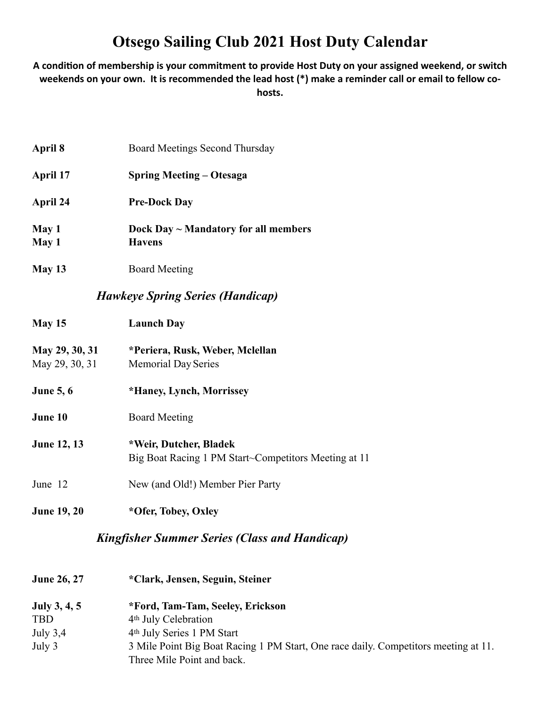## **Otsego Sailing Club 2021 Host Duty Calendar**

A condition of membership is your commitment to provide Host Duty on your assigned weekend, or switch **weekends on your own. It is recommended the lead host (\*) make a reminder call or email to fellow cohosts.** 

| <b>Kingfisher Summer Series (Class and Handicap)</b> |                                                                                |  |
|------------------------------------------------------|--------------------------------------------------------------------------------|--|
| <b>June 19, 20</b>                                   | *Ofer, Tobey, Oxley                                                            |  |
| June 12                                              | New (and Old!) Member Pier Party                                               |  |
| <b>June 12, 13</b>                                   | *Weir, Dutcher, Bladek<br>Big Boat Racing 1 PM Start~Competitors Meeting at 11 |  |
| June 10                                              | <b>Board Meeting</b>                                                           |  |
| <b>June 5, 6</b>                                     | *Haney, Lynch, Morrissey                                                       |  |
| May 29, 30, 31<br>May 29, 30, 31                     | *Periera, Rusk, Weber, Mclellan<br><b>Memorial Day Series</b>                  |  |
| <b>May 15</b>                                        | <b>Launch Day</b>                                                              |  |
|                                                      | <b>Hawkeye Spring Series (Handicap)</b>                                        |  |
| May 13                                               | <b>Board Meeting</b>                                                           |  |
| May 1<br>May 1                                       | Dock Day $\sim$ Mandatory for all members<br><b>Havens</b>                     |  |
| April 24                                             | <b>Pre-Dock Day</b>                                                            |  |
| April 17                                             | <b>Spring Meeting – Otesaga</b>                                                |  |
| April 8                                              | <b>Board Meetings Second Thursday</b>                                          |  |

| <b>June 26, 27</b> | *Clark, Jensen, Seguin, Steiner                                                                                   |
|--------------------|-------------------------------------------------------------------------------------------------------------------|
| July $3, 4, 5$     | *Ford, Tam-Tam, Seeley, Erickson                                                                                  |
| <b>TBD</b>         | 4 <sup>th</sup> July Celebration                                                                                  |
| July $3,4$         | 4 <sup>th</sup> July Series 1 PM Start                                                                            |
| July 3             | 3 Mile Point Big Boat Racing 1 PM Start, One race daily. Competitors meeting at 11.<br>Three Mile Point and back. |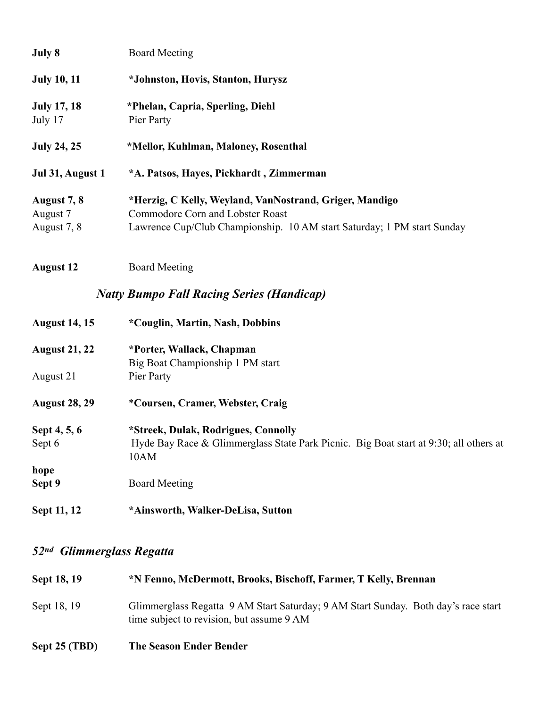| July 8             | <b>Board Meeting</b>                                                    |
|--------------------|-------------------------------------------------------------------------|
| <b>July 10, 11</b> | *Johnston, Hovis, Stanton, Hurysz                                       |
| <b>July 17, 18</b> | *Phelan, Capria, Sperling, Diehl                                        |
| July 17            | Pier Party                                                              |
| <b>July 24, 25</b> | *Mellor, Kuhlman, Maloney, Rosenthal                                    |
| Jul 31, August 1   | *A. Patsos, Hayes, Pickhardt, Zimmerman                                 |
| August 7, 8        | *Herzig, C Kelly, Weyland, VanNostrand, Griger, Mandigo                 |
| August 7           | Commodore Corn and Lobster Roast                                        |
| August 7, 8        | Lawrence Cup/Club Championship. 10 AM start Saturday; 1 PM start Sunday |

**August 12** Board Meeting

## *Natty Bumpo Fall Racing Series (Handicap)*

| <b>August 14, 15</b> | *Couglin, Martin, Nash, Dobbins                                                       |  |
|----------------------|---------------------------------------------------------------------------------------|--|
| <b>August 21, 22</b> | *Porter, Wallack, Chapman                                                             |  |
|                      | Big Boat Championship 1 PM start                                                      |  |
| August 21            | Pier Party                                                                            |  |
| <b>August 28, 29</b> | *Coursen, Cramer, Webster, Craig                                                      |  |
| Sept 4, 5, 6         | *Streek, Dulak, Rodrigues, Connolly                                                   |  |
| Sept 6               | Hyde Bay Race & Glimmerglass State Park Picnic. Big Boat start at 9:30; all others at |  |
|                      | 10AM                                                                                  |  |
| hope                 |                                                                                       |  |
| Sept 9               | <b>Board Meeting</b>                                                                  |  |
| Sept 11, 12          | *Ainsworth, Walker-DeLisa, Sutton                                                     |  |

## *52nd Glimmerglass Regatta*

| Sept 18, 19   | *N Fenno, McDermott, Brooks, Bischoff, Farmer, T Kelly, Brennan                                                                 |  |
|---------------|---------------------------------------------------------------------------------------------------------------------------------|--|
| Sept 18, 19   | Glimmerglass Regatta 9 AM Start Saturday; 9 AM Start Sunday. Both day's race start<br>time subject to revision, but assume 9 AM |  |
| Sept 25 (TBD) | <b>The Season Ender Bender</b>                                                                                                  |  |